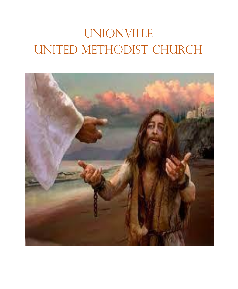# **UNIONVILLE** UNITED METHODIST CHURCH

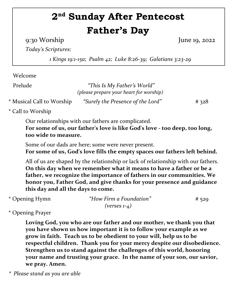## **2 nd Sunday After Pentecost Father's Day**

9:30 Worship June 19, 2022

*Today's Scriptures:*

*1 Kings 19:1-15a; Psalm 42; Luke 8:26-39; Galatians 3:23-29*

Welcome

Prelude *"This Is My Father's World" (please prepare your heart for worship)*

\* Musical Call to Worship *"Surely the Presence of the Lord"* # 328

\* Call to Worship

Our relationships with our fathers are complicated. **For some of us, our father's love is like God's love - too deep, too long, too wide to measure.** 

Some of our dads are here; some were never present. **For some of us, God's love fills the empty spaces our fathers left behind.**

All of us are shaped by the relationship or lack of relationship with our fathers. **On this day when we remember what it means to have a father or be a father, we recognize the importance of fathers in our communities. We honor you, Father God, and give thanks for your presence and guidance this day and all the days to come.**

| * Opening Hymn | "How Firm a Foundation" | # 529 |
|----------------|-------------------------|-------|
|                | $(verses 1-4)$          |       |

\* Opening Prayer

**Loving God, you who are our father and our mother, we thank you that you have shown us how important it is to follow your example as we grow in faith. Teach us to be obedient to your will, help us to be respectful children. Thank you for your mercy despite our disobedience. Strengthen us to stand against the challenges of this world, honoring your name and trusting your grace. In the name of your son, our savior, we pray. Amen.**

*\* Please stand as you are able*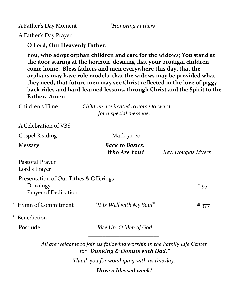A Father's Day Moment *"Honoring Fathers"*

A Father's Day Prayer

**O Lord, Our Heavenly Father:**

**You, who adopt orphan children and care for the widows; You stand at the door staring at the horizon, desiring that your prodigal children come home. Bless fathers and men everywhere this day, that the orphans may have role models, that the widows may be provided what they need, that future men may see Christ reflected in the love of piggyback rides and hard-learned lessons, through Christ and the Spirit to the Father. Amen**

| Children's Time                                                            | Children are invited to come forward<br>for a special message.         |                    |  |
|----------------------------------------------------------------------------|------------------------------------------------------------------------|--------------------|--|
| A Celebration of VBS                                                       |                                                                        |                    |  |
| <b>Gospel Reading</b>                                                      | Mark 5:1-20                                                            |                    |  |
| Message                                                                    | <b>Back to Basics:</b><br><b>Who Are You?</b>                          | Rev. Douglas Myers |  |
| Pastoral Prayer<br>Lord's Prayer                                           |                                                                        |                    |  |
| Presentation of Our Tithes & Offerings<br>Doxology<br>Prayer of Dedication |                                                                        | # 95               |  |
| * Hymn of Commitment                                                       | "It Is Well with My Soul"                                              | #377               |  |
| Benediction<br>$^{\star}$                                                  |                                                                        |                    |  |
| Postlude                                                                   | "Rise Up, O Men of God"                                                |                    |  |
|                                                                            | All are welcome to join us following worship in the Family Life Center |                    |  |

*for "Dunking & Donuts with Dad."*

*Thank you for worshiping with us this day.*

*Have a blessed week!*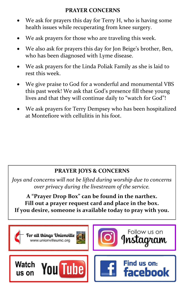#### **PRAYER CONCERNS**

- We ask for prayers this day for Terry H, who is having some health issues while recuperating from knee surgery.
- We ask prayers for those who are traveling this week.
- We also ask for prayers this day for Jon Beige's brother, Ben, who has been diagnosed with Lyme disease.
- We ask prayers for the Linda Poliak Family as she is laid to rest this week.
- We give praise to God for a wonderful and monumental VBS this past week! We ask that God's presence fill these young lives and that they will continue daily to "watch for God"!
- We ask prayers for Terry Dempsey who has been hospitalized at Montefiore with cellulitis in his foot.

#### **PRAYER JOYS & CONCERNS**

*Joys and concerns will not be lifted during worship due to concerns over privacy during the livestream of the service.*

**A "Prayer Drop Box" can be found in the narthex. Fill out a prayer request card and place in the box. If you desire, someone is available today to pray with you.** 

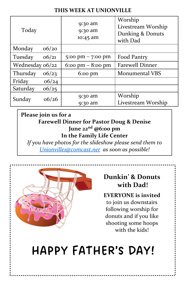#### **THIS WEEK AT UNIONVILLE**

| Today           |       | 9:30 am<br>9:30 am<br>10:45 am | Worship<br>Livestream Worship<br>Dunking & Donuts<br>with Dad |
|-----------------|-------|--------------------------------|---------------------------------------------------------------|
| Monday          | 06/20 |                                |                                                               |
| Tuesday         | 66/21 | 5:00 pm $-$ 7:00 pm            | Food Pantry                                                   |
| Wednesday 06/22 |       | 6:00 pm $-$ 8:00 pm            | <b>Farewell Dinner</b>                                        |
| Thursday        | 06/23 | $6:00 \text{ pm}$              | <b>Monumental VBS</b>                                         |
| Friday          | 06/24 |                                |                                                               |
| Saturday        | 06/25 |                                |                                                               |
| Sunday          | 06/26 | 9:30 am                        | Worship                                                       |
|                 |       | $9:30$ am                      | Livestream Worship                                            |

#### **Please join us for a Farewell Dinner for Pastor Doug & Denise June 22nd @6:00 pm In the Family Life Center**

*If you have photos for the slideshow please send them to [Unionville1@comcast.net](mailto:Unionville1@comcast.net) as soon as possible!*



### **Dunkin' & Donuts with Dad!**

**EVERYONE is invited**  to join us downstairs following worship for donuts and if you like shooting some hoops with the kids!

# HAPPY FATHER'S DAY!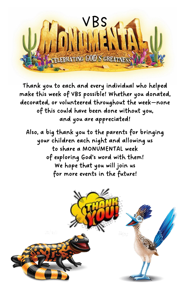

Thank you to each and every individual who helped make this week of VBS possible! Whether you donated, decorated, or volunteered throughout the week—none of this could have been done without you, and you are appreciated!

Also, a big thank you to the parents for bringing your children each night and allowing us to share a MONUMENTAL week of exploring God's word with them! We hope that you will join us for more events in the future!

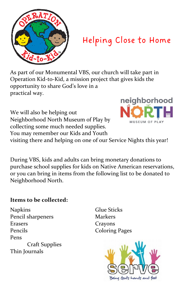

### Helping Close to Home

As part of our Monumental VBS, our church will take part in Operation Kid-to-Kid, a mission project that gives kids the opportunity to share God's love in a practical way.

We will also be helping out Neighborhood North Museum of Play by collecting some much needed supplies. You may remember our Kids and Youth



visiting there and helping on one of our Service Nights this year!

During VBS, kids and adults can bring monetary donations to purchase school supplies for kids on Native American reservations, or you can bring in items from the following list to be donated to Neighborhood North.

#### **Items to be collected:**

Napkins Glue Sticks Pencil sharpeners Markers Erasers Crayons Pencils Coloring Pages Pens Craft Supplies Thin Journals